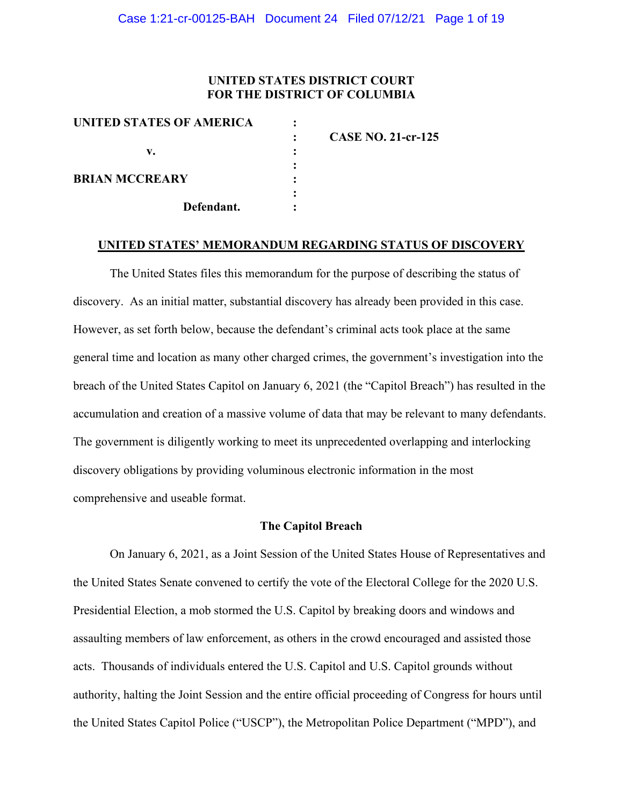#### **UNITED STATES DISTRICT COURT FOR THE DISTRICT OF COLUMBIA**

| UNITED STATES OF AMERICA |            |                           |
|--------------------------|------------|---------------------------|
|                          |            | <b>CASE NO. 21-cr-125</b> |
| v.                       |            |                           |
|                          |            |                           |
| <b>BRIAN MCCREARY</b>    |            |                           |
|                          |            |                           |
|                          | Defendant. |                           |
|                          |            |                           |

#### **UNITED STATES' MEMORANDUM REGARDING STATUS OF DISCOVERY**

The United States files this memorandum for the purpose of describing the status of discovery. As an initial matter, substantial discovery has already been provided in this case. However, as set forth below, because the defendant's criminal acts took place at the same general time and location as many other charged crimes, the government's investigation into the breach of the United States Capitol on January 6, 2021 (the "Capitol Breach") has resulted in the accumulation and creation of a massive volume of data that may be relevant to many defendants. The government is diligently working to meet its unprecedented overlapping and interlocking discovery obligations by providing voluminous electronic information in the most comprehensive and useable format.

#### **The Capitol Breach**

On January 6, 2021, as a Joint Session of the United States House of Representatives and the United States Senate convened to certify the vote of the Electoral College for the 2020 U.S. Presidential Election, a mob stormed the U.S. Capitol by breaking doors and windows and assaulting members of law enforcement, as others in the crowd encouraged and assisted those acts. Thousands of individuals entered the U.S. Capitol and U.S. Capitol grounds without authority, halting the Joint Session and the entire official proceeding of Congress for hours until the United States Capitol Police ("USCP"), the Metropolitan Police Department ("MPD"), and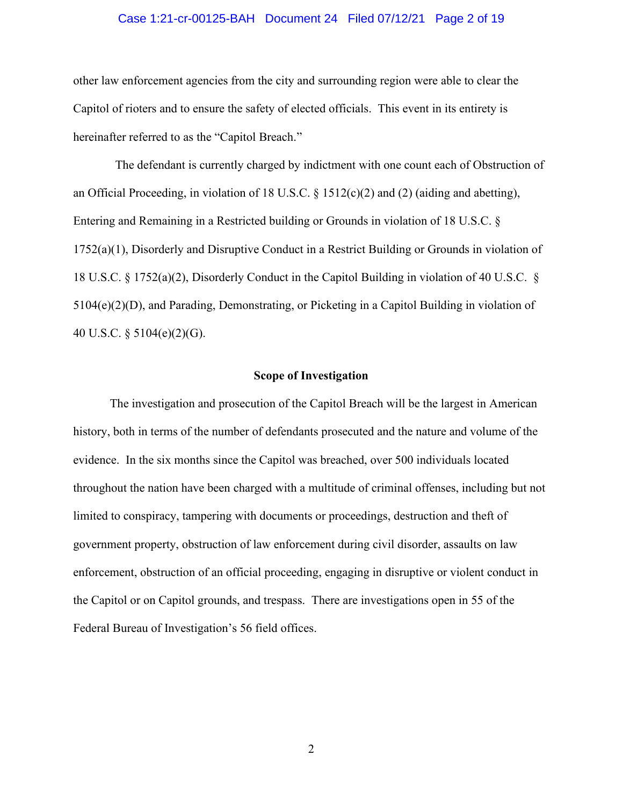#### Case 1:21-cr-00125-BAH Document 24 Filed 07/12/21 Page 2 of 19

other law enforcement agencies from the city and surrounding region were able to clear the Capitol of rioters and to ensure the safety of elected officials. This event in its entirety is hereinafter referred to as the "Capitol Breach."

The defendant is currently charged by indictment with one count each of Obstruction of an Official Proceeding, in violation of 18 U.S.C. § 1512(c)(2) and (2) (aiding and abetting), Entering and Remaining in a Restricted building or Grounds in violation of 18 U.S.C. § 1752(a)(1), Disorderly and Disruptive Conduct in a Restrict Building or Grounds in violation of 18 U.S.C. § 1752(a)(2), Disorderly Conduct in the Capitol Building in violation of 40 U.S.C. § 5104(e)(2)(D), and Parading, Demonstrating, or Picketing in a Capitol Building in violation of 40 U.S.C. § 5104(e)(2)(G).

#### **Scope of Investigation**

The investigation and prosecution of the Capitol Breach will be the largest in American history, both in terms of the number of defendants prosecuted and the nature and volume of the evidence. In the six months since the Capitol was breached, over 500 individuals located throughout the nation have been charged with a multitude of criminal offenses, including but not limited to conspiracy, tampering with documents or proceedings, destruction and theft of government property, obstruction of law enforcement during civil disorder, assaults on law enforcement, obstruction of an official proceeding, engaging in disruptive or violent conduct in the Capitol or on Capitol grounds, and trespass. There are investigations open in 55 of the Federal Bureau of Investigation's 56 field offices.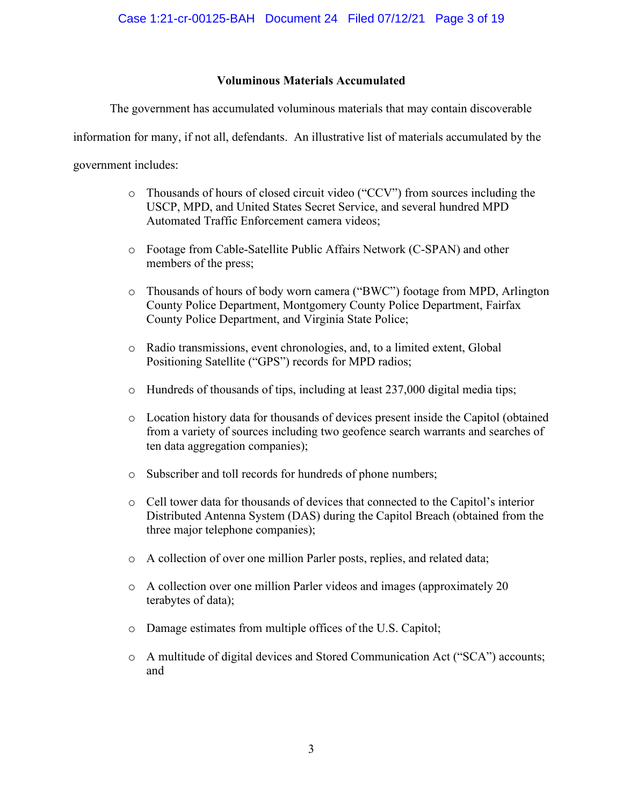### **Voluminous Materials Accumulated**

The government has accumulated voluminous materials that may contain discoverable

information for many, if not all, defendants. An illustrative list of materials accumulated by the

government includes:

- o Thousands of hours of closed circuit video ("CCV") from sources including the USCP, MPD, and United States Secret Service, and several hundred MPD Automated Traffic Enforcement camera videos;
- o Footage from Cable-Satellite Public Affairs Network (C-SPAN) and other members of the press;
- o Thousands of hours of body worn camera ("BWC") footage from MPD, Arlington County Police Department, Montgomery County Police Department, Fairfax County Police Department, and Virginia State Police;
- o Radio transmissions, event chronologies, and, to a limited extent, Global Positioning Satellite ("GPS") records for MPD radios;
- o Hundreds of thousands of tips, including at least 237,000 digital media tips;
- o Location history data for thousands of devices present inside the Capitol (obtained from a variety of sources including two geofence search warrants and searches of ten data aggregation companies);
- o Subscriber and toll records for hundreds of phone numbers;
- o Cell tower data for thousands of devices that connected to the Capitol's interior Distributed Antenna System (DAS) during the Capitol Breach (obtained from the three major telephone companies);
- o A collection of over one million Parler posts, replies, and related data;
- o A collection over one million Parler videos and images (approximately 20 terabytes of data);
- o Damage estimates from multiple offices of the U.S. Capitol;
- o A multitude of digital devices and Stored Communication Act ("SCA") accounts; and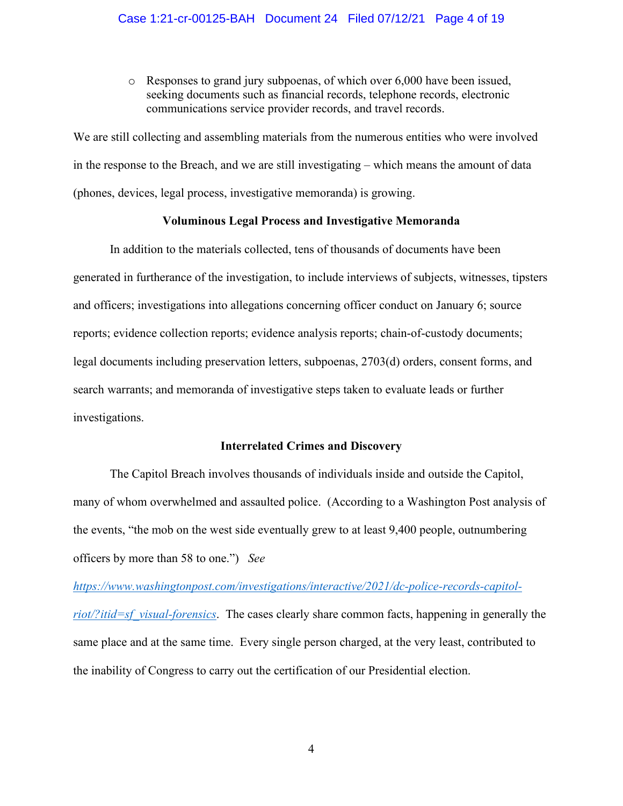o Responses to grand jury subpoenas, of which over 6,000 have been issued, seeking documents such as financial records, telephone records, electronic communications service provider records, and travel records.

We are still collecting and assembling materials from the numerous entities who were involved in the response to the Breach, and we are still investigating – which means the amount of data (phones, devices, legal process, investigative memoranda) is growing.

#### **Voluminous Legal Process and Investigative Memoranda**

In addition to the materials collected, tens of thousands of documents have been generated in furtherance of the investigation, to include interviews of subjects, witnesses, tipsters and officers; investigations into allegations concerning officer conduct on January 6; source reports; evidence collection reports; evidence analysis reports; chain-of-custody documents; legal documents including preservation letters, subpoenas, 2703(d) orders, consent forms, and search warrants; and memoranda of investigative steps taken to evaluate leads or further investigations.

#### **Interrelated Crimes and Discovery**

The Capitol Breach involves thousands of individuals inside and outside the Capitol, many of whom overwhelmed and assaulted police. (According to a Washington Post analysis of the events, "the mob on the west side eventually grew to at least 9,400 people, outnumbering officers by more than 58 to one.") *See* 

*https://www.washingtonpost.com/investigations/interactive/2021/dc-police-records-capitolriot/?itid=sf\_visual-forensics*. The cases clearly share common facts, happening in generally the same place and at the same time. Every single person charged, at the very least, contributed to the inability of Congress to carry out the certification of our Presidential election.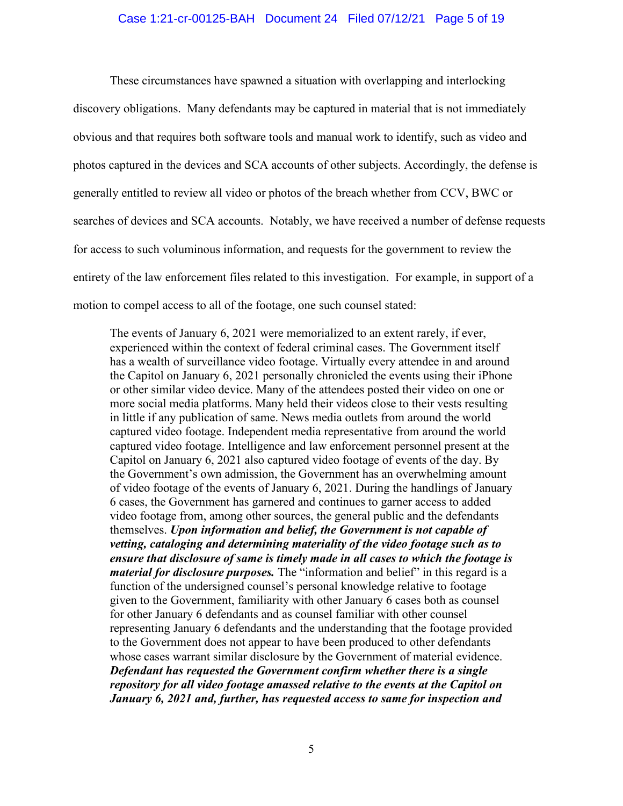#### Case 1:21-cr-00125-BAH Document 24 Filed 07/12/21 Page 5 of 19

These circumstances have spawned a situation with overlapping and interlocking discovery obligations. Many defendants may be captured in material that is not immediately obvious and that requires both software tools and manual work to identify, such as video and photos captured in the devices and SCA accounts of other subjects. Accordingly, the defense is generally entitled to review all video or photos of the breach whether from CCV, BWC or searches of devices and SCA accounts. Notably, we have received a number of defense requests for access to such voluminous information, and requests for the government to review the entirety of the law enforcement files related to this investigation. For example, in support of a motion to compel access to all of the footage, one such counsel stated:

The events of January 6, 2021 were memorialized to an extent rarely, if ever, experienced within the context of federal criminal cases. The Government itself has a wealth of surveillance video footage. Virtually every attendee in and around the Capitol on January 6, 2021 personally chronicled the events using their iPhone or other similar video device. Many of the attendees posted their video on one or more social media platforms. Many held their videos close to their vests resulting in little if any publication of same. News media outlets from around the world captured video footage. Independent media representative from around the world captured video footage. Intelligence and law enforcement personnel present at the Capitol on January 6, 2021 also captured video footage of events of the day. By the Government's own admission, the Government has an overwhelming amount of video footage of the events of January 6, 2021. During the handlings of January 6 cases, the Government has garnered and continues to garner access to added video footage from, among other sources, the general public and the defendants themselves. *Upon information and belief, the Government is not capable of vetting, cataloging and determining materiality of the video footage such as to ensure that disclosure of same is timely made in all cases to which the footage is material for disclosure purposes.* The "information and belief" in this regard is a function of the undersigned counsel's personal knowledge relative to footage given to the Government, familiarity with other January 6 cases both as counsel for other January 6 defendants and as counsel familiar with other counsel representing January 6 defendants and the understanding that the footage provided to the Government does not appear to have been produced to other defendants whose cases warrant similar disclosure by the Government of material evidence. *Defendant has requested the Government confirm whether there is a single repository for all video footage amassed relative to the events at the Capitol on January 6, 2021 and, further, has requested access to same for inspection and*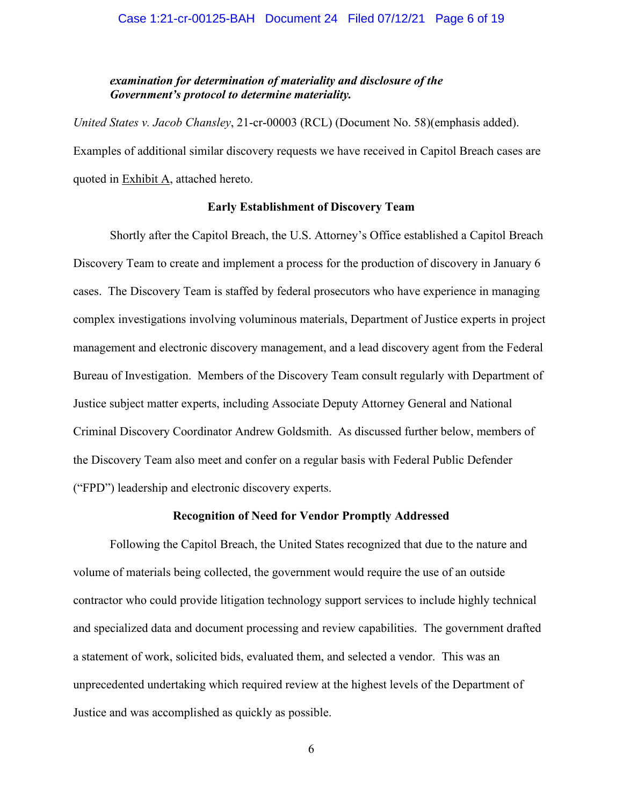#### *examination for determination of materiality and disclosure of the Government's protocol to determine materiality.*

*United States v. Jacob Chansley*, 21-cr-00003 (RCL) (Document No. 58)(emphasis added). Examples of additional similar discovery requests we have received in Capitol Breach cases are quoted in Exhibit A, attached hereto.

#### **Early Establishment of Discovery Team**

Shortly after the Capitol Breach, the U.S. Attorney's Office established a Capitol Breach Discovery Team to create and implement a process for the production of discovery in January 6 cases. The Discovery Team is staffed by federal prosecutors who have experience in managing complex investigations involving voluminous materials, Department of Justice experts in project management and electronic discovery management, and a lead discovery agent from the Federal Bureau of Investigation. Members of the Discovery Team consult regularly with Department of Justice subject matter experts, including Associate Deputy Attorney General and National Criminal Discovery Coordinator Andrew Goldsmith. As discussed further below, members of the Discovery Team also meet and confer on a regular basis with Federal Public Defender ("FPD") leadership and electronic discovery experts.

#### **Recognition of Need for Vendor Promptly Addressed**

Following the Capitol Breach, the United States recognized that due to the nature and volume of materials being collected, the government would require the use of an outside contractor who could provide litigation technology support services to include highly technical and specialized data and document processing and review capabilities. The government drafted a statement of work, solicited bids, evaluated them, and selected a vendor. This was an unprecedented undertaking which required review at the highest levels of the Department of Justice and was accomplished as quickly as possible.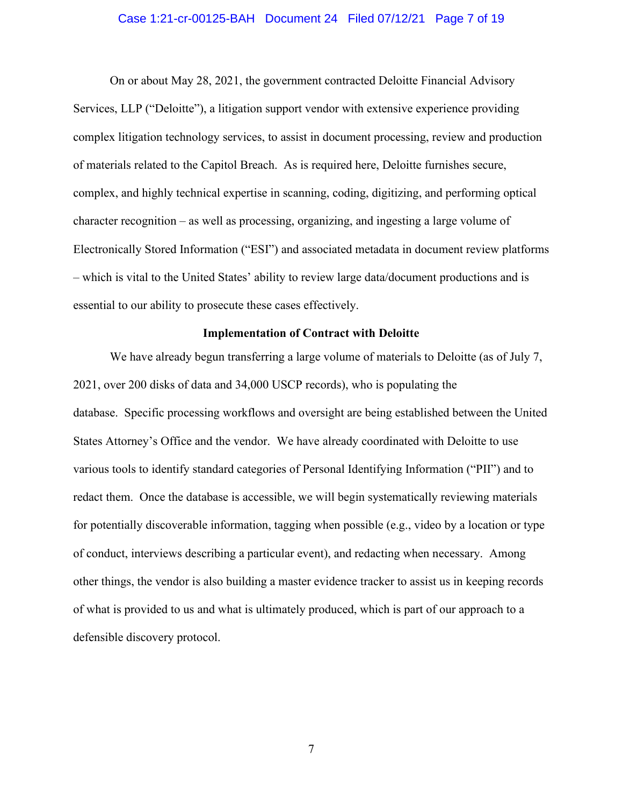#### Case 1:21-cr-00125-BAH Document 24 Filed 07/12/21 Page 7 of 19

On or about May 28, 2021, the government contracted Deloitte Financial Advisory Services, LLP ("Deloitte"), a litigation support vendor with extensive experience providing complex litigation technology services, to assist in document processing, review and production of materials related to the Capitol Breach. As is required here, Deloitte furnishes secure, complex, and highly technical expertise in scanning, coding, digitizing, and performing optical character recognition – as well as processing, organizing, and ingesting a large volume of Electronically Stored Information ("ESI") and associated metadata in document review platforms – which is vital to the United States' ability to review large data/document productions and is essential to our ability to prosecute these cases effectively.

#### **Implementation of Contract with Deloitte**

We have already begun transferring a large volume of materials to Deloitte (as of July 7, 2021, over 200 disks of data and 34,000 USCP records), who is populating the database. Specific processing workflows and oversight are being established between the United States Attorney's Office and the vendor. We have already coordinated with Deloitte to use various tools to identify standard categories of Personal Identifying Information ("PII") and to redact them. Once the database is accessible, we will begin systematically reviewing materials for potentially discoverable information, tagging when possible (e.g., video by a location or type of conduct, interviews describing a particular event), and redacting when necessary. Among other things, the vendor is also building a master evidence tracker to assist us in keeping records of what is provided to us and what is ultimately produced, which is part of our approach to a defensible discovery protocol.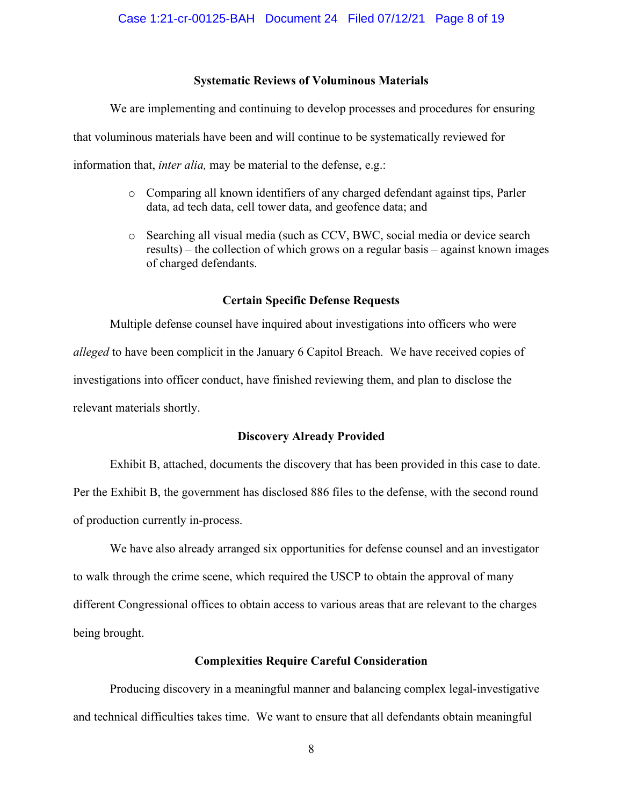#### **Systematic Reviews of Voluminous Materials**

We are implementing and continuing to develop processes and procedures for ensuring that voluminous materials have been and will continue to be systematically reviewed for

information that, *inter alia,* may be material to the defense, e.g.:

- o Comparing all known identifiers of any charged defendant against tips, Parler data, ad tech data, cell tower data, and geofence data; and
- o Searching all visual media (such as CCV, BWC, social media or device search results) – the collection of which grows on a regular basis – against known images of charged defendants.

#### **Certain Specific Defense Requests**

Multiple defense counsel have inquired about investigations into officers who were *alleged* to have been complicit in the January 6 Capitol Breach. We have received copies of investigations into officer conduct, have finished reviewing them, and plan to disclose the relevant materials shortly.

#### **Discovery Already Provided**

Exhibit B, attached, documents the discovery that has been provided in this case to date. Per the Exhibit B, the government has disclosed 886 files to the defense, with the second round of production currently in-process.

We have also already arranged six opportunities for defense counsel and an investigator to walk through the crime scene, which required the USCP to obtain the approval of many different Congressional offices to obtain access to various areas that are relevant to the charges being brought.

#### **Complexities Require Careful Consideration**

Producing discovery in a meaningful manner and balancing complex legal-investigative and technical difficulties takes time. We want to ensure that all defendants obtain meaningful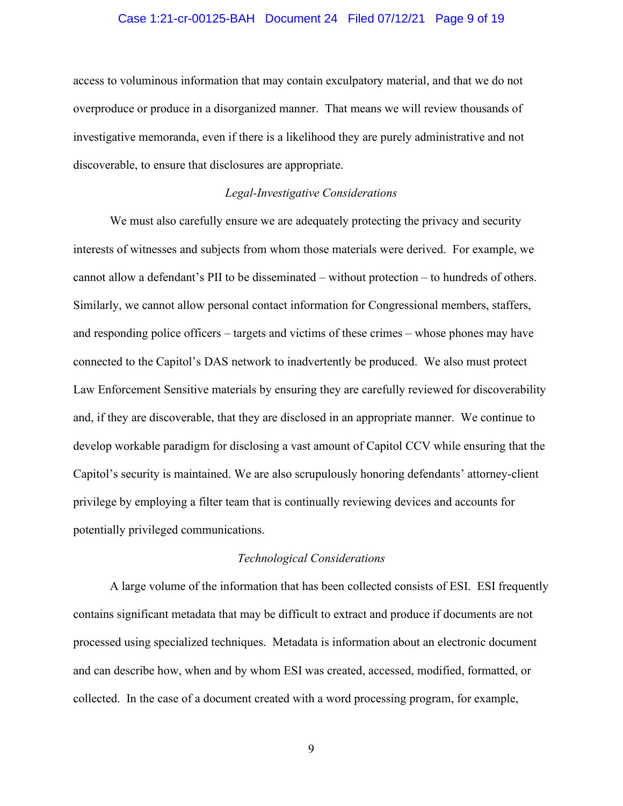#### Case 1:21-cr-00125-BAH Document 24 Filed 07/12/21 Page 9 of 19

access to voluminous information that may contain exculpatory material, and that we do not overproduce or produce in a disorganized manner. That means we will review thousands of investigative memoranda, even if there is a likelihood they are purely administrative and not discoverable, to ensure that disclosures are appropriate.

#### *Legal-Investigative Considerations*

We must also carefully ensure we are adequately protecting the privacy and security interests of witnesses and subjects from whom those materials were derived. For example, we cannot allow a defendant's PII to be disseminated – without protection – to hundreds of others. Similarly, we cannot allow personal contact information for Congressional members, staffers, and responding police officers – targets and victims of these crimes – whose phones may have connected to the Capitol's DAS network to inadvertently be produced. We also must protect Law Enforcement Sensitive materials by ensuring they are carefully reviewed for discoverability and, if they are discoverable, that they are disclosed in an appropriate manner. We continue to develop workable paradigm for disclosing a vast amount of Capitol CCV while ensuring that the Capitol's security is maintained. We are also scrupulously honoring defendants' attorney-client privilege by employing a filter team that is continually reviewing devices and accounts for potentially privileged communications.

#### *Technological Considerations*

A large volume of the information that has been collected consists of ESI. ESI frequently contains significant metadata that may be difficult to extract and produce if documents are not processed using specialized techniques. Metadata is information about an electronic document and can describe how, when and by whom ESI was created, accessed, modified, formatted, or collected. In the case of a document created with a word processing program, for example,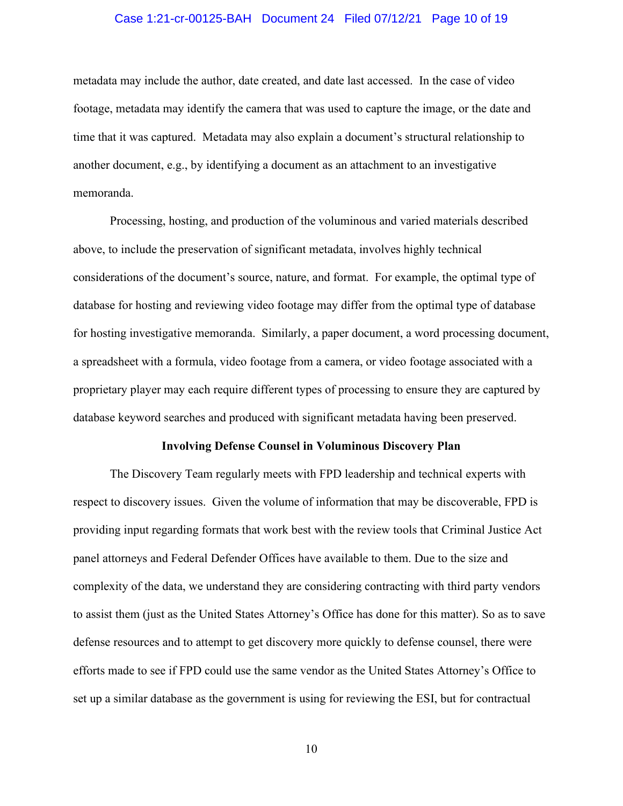#### Case 1:21-cr-00125-BAH Document 24 Filed 07/12/21 Page 10 of 19

metadata may include the author, date created, and date last accessed. In the case of video footage, metadata may identify the camera that was used to capture the image, or the date and time that it was captured. Metadata may also explain a document's structural relationship to another document, e.g., by identifying a document as an attachment to an investigative memoranda.

Processing, hosting, and production of the voluminous and varied materials described above, to include the preservation of significant metadata, involves highly technical considerations of the document's source, nature, and format. For example, the optimal type of database for hosting and reviewing video footage may differ from the optimal type of database for hosting investigative memoranda. Similarly, a paper document, a word processing document, a spreadsheet with a formula, video footage from a camera, or video footage associated with a proprietary player may each require different types of processing to ensure they are captured by database keyword searches and produced with significant metadata having been preserved.

#### **Involving Defense Counsel in Voluminous Discovery Plan**

The Discovery Team regularly meets with FPD leadership and technical experts with respect to discovery issues. Given the volume of information that may be discoverable, FPD is providing input regarding formats that work best with the review tools that Criminal Justice Act panel attorneys and Federal Defender Offices have available to them. Due to the size and complexity of the data, we understand they are considering contracting with third party vendors to assist them (just as the United States Attorney's Office has done for this matter). So as to save defense resources and to attempt to get discovery more quickly to defense counsel, there were efforts made to see if FPD could use the same vendor as the United States Attorney's Office to set up a similar database as the government is using for reviewing the ESI, but for contractual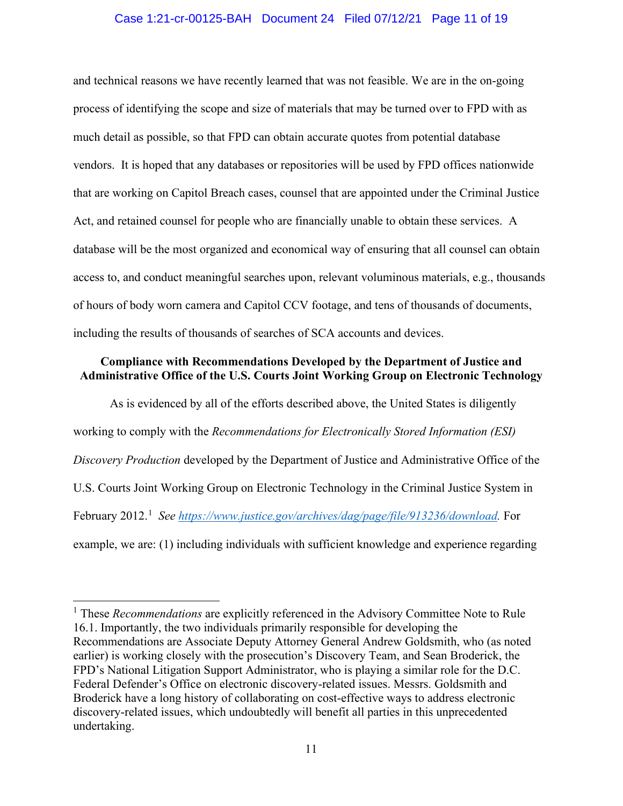#### Case 1:21-cr-00125-BAH Document 24 Filed 07/12/21 Page 11 of 19

and technical reasons we have recently learned that was not feasible. We are in the on-going process of identifying the scope and size of materials that may be turned over to FPD with as much detail as possible, so that FPD can obtain accurate quotes from potential database vendors. It is hoped that any databases or repositories will be used by FPD offices nationwide that are working on Capitol Breach cases, counsel that are appointed under the Criminal Justice Act, and retained counsel for people who are financially unable to obtain these services. A database will be the most organized and economical way of ensuring that all counsel can obtain access to, and conduct meaningful searches upon, relevant voluminous materials, e.g., thousands of hours of body worn camera and Capitol CCV footage, and tens of thousands of documents, including the results of thousands of searches of SCA accounts and devices.

#### **Compliance with Recommendations Developed by the Department of Justice and Administrative Office of the U.S. Courts Joint Working Group on Electronic Technology**

As is evidenced by all of the efforts described above, the United States is diligently working to comply with the *Recommendations for Electronically Stored Information (ESI) Discovery Production* developed by the Department of Justice and Administrative Office of the U.S. Courts Joint Working Group on Electronic Technology in the Criminal Justice System in February 2012.<sup>1</sup> See https://www.justice.gov/archives/dag/page/file/913236/download. For example, we are: (1) including individuals with sufficient knowledge and experience regarding

<sup>&</sup>lt;sup>1</sup> These *Recommendations* are explicitly referenced in the Advisory Committee Note to Rule 16.1. Importantly, the two individuals primarily responsible for developing the Recommendations are Associate Deputy Attorney General Andrew Goldsmith, who (as noted earlier) is working closely with the prosecution's Discovery Team, and Sean Broderick, the FPD's National Litigation Support Administrator, who is playing a similar role for the D.C. Federal Defender's Office on electronic discovery-related issues. Messrs. Goldsmith and Broderick have a long history of collaborating on cost-effective ways to address electronic discovery-related issues, which undoubtedly will benefit all parties in this unprecedented undertaking.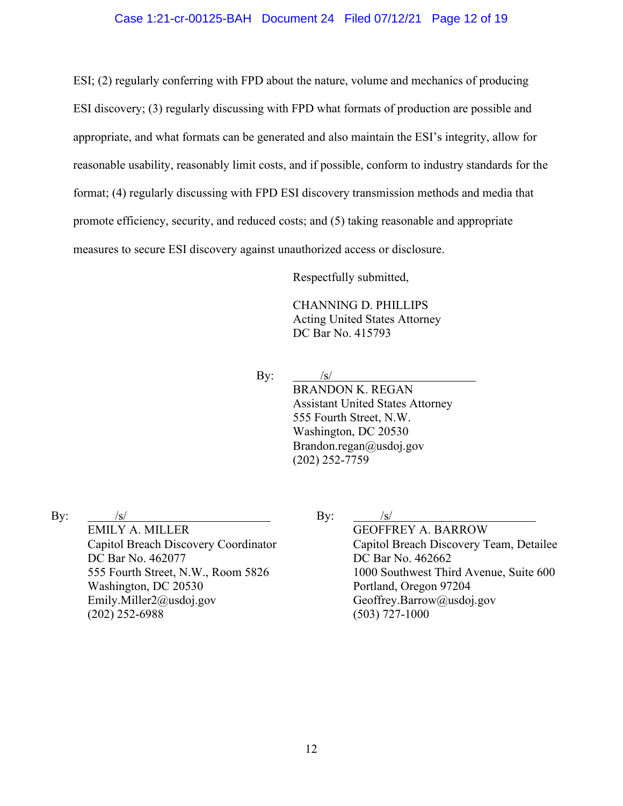#### Case 1:21-cr-00125-BAH Document 24 Filed 07/12/21 Page 12 of 19

ESI; (2) regularly conferring with FPD about the nature, volume and mechanics of producing ESI discovery; (3) regularly discussing with FPD what formats of production are possible and appropriate, and what formats can be generated and also maintain the ESI's integrity, allow for reasonable usability, reasonably limit costs, and if possible, conform to industry standards for the format; (4) regularly discussing with FPD ESI discovery transmission methods and media that promote efficiency, security, and reduced costs; and (5) taking reasonable and appropriate measures to secure ESI discovery against unauthorized access or disclosure.

Respectfully submitted,

CHANNING D. PHILLIPS Acting United States Attorney DC Bar No. 415793

By:  $\frac{|s|}{|s|}$ 

BRANDON K. REGAN Assistant United States Attorney 555 Fourth Street, N.W. Washington, DC 20530 Brandon.regan@usdoj.gov (202) 252-7759

By:  $/s/$ 

EMILY A. MILLER Capitol Breach Discovery Coordinator DC Bar No. 462077 555 Fourth Street, N.W., Room 5826 Washington, DC 20530 Emily.Miller2@usdoj.gov (202) 252-6988

| . т |
|-----|
|     |

GEOFFREY A. BARROW Capitol Breach Discovery Team, Detailee DC Bar No. 462662 1000 Southwest Third Avenue, Suite 600 Portland, Oregon 97204 Geoffrey.Barrow@usdoj.gov (503) 727-1000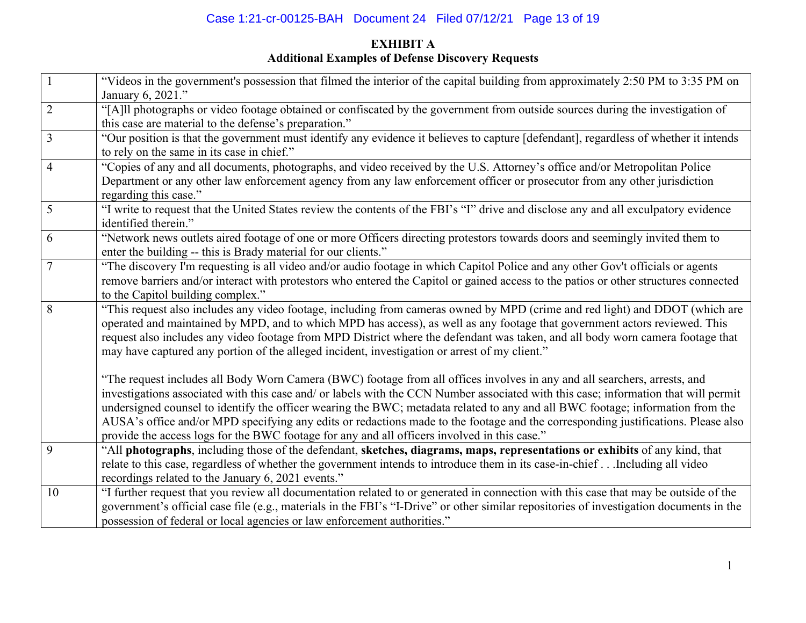# Case 1:21-cr-00125-BAH Document 24 Filed 07/12/21 Page 13 of 19

## **EXHIBIT A Additional Examples of Defense Discovery Requests**

| "Our position is that the government must identify any evidence it believes to capture [defendant], regardless of whether it intends                                                                                                                                                                                                                                                                                                                                                                                                                                                                                                                                                                                                                                                                         |
|--------------------------------------------------------------------------------------------------------------------------------------------------------------------------------------------------------------------------------------------------------------------------------------------------------------------------------------------------------------------------------------------------------------------------------------------------------------------------------------------------------------------------------------------------------------------------------------------------------------------------------------------------------------------------------------------------------------------------------------------------------------------------------------------------------------|
|                                                                                                                                                                                                                                                                                                                                                                                                                                                                                                                                                                                                                                                                                                                                                                                                              |
|                                                                                                                                                                                                                                                                                                                                                                                                                                                                                                                                                                                                                                                                                                                                                                                                              |
|                                                                                                                                                                                                                                                                                                                                                                                                                                                                                                                                                                                                                                                                                                                                                                                                              |
|                                                                                                                                                                                                                                                                                                                                                                                                                                                                                                                                                                                                                                                                                                                                                                                                              |
|                                                                                                                                                                                                                                                                                                                                                                                                                                                                                                                                                                                                                                                                                                                                                                                                              |
|                                                                                                                                                                                                                                                                                                                                                                                                                                                                                                                                                                                                                                                                                                                                                                                                              |
|                                                                                                                                                                                                                                                                                                                                                                                                                                                                                                                                                                                                                                                                                                                                                                                                              |
|                                                                                                                                                                                                                                                                                                                                                                                                                                                                                                                                                                                                                                                                                                                                                                                                              |
|                                                                                                                                                                                                                                                                                                                                                                                                                                                                                                                                                                                                                                                                                                                                                                                                              |
|                                                                                                                                                                                                                                                                                                                                                                                                                                                                                                                                                                                                                                                                                                                                                                                                              |
|                                                                                                                                                                                                                                                                                                                                                                                                                                                                                                                                                                                                                                                                                                                                                                                                              |
|                                                                                                                                                                                                                                                                                                                                                                                                                                                                                                                                                                                                                                                                                                                                                                                                              |
| "This request also includes any video footage, including from cameras owned by MPD (crime and red light) and DDOT (which are                                                                                                                                                                                                                                                                                                                                                                                                                                                                                                                                                                                                                                                                                 |
|                                                                                                                                                                                                                                                                                                                                                                                                                                                                                                                                                                                                                                                                                                                                                                                                              |
| request also includes any video footage from MPD District where the defendant was taken, and all body worn camera footage that                                                                                                                                                                                                                                                                                                                                                                                                                                                                                                                                                                                                                                                                               |
|                                                                                                                                                                                                                                                                                                                                                                                                                                                                                                                                                                                                                                                                                                                                                                                                              |
|                                                                                                                                                                                                                                                                                                                                                                                                                                                                                                                                                                                                                                                                                                                                                                                                              |
| investigations associated with this case and/ or labels with the CCN Number associated with this case; information that will permit                                                                                                                                                                                                                                                                                                                                                                                                                                                                                                                                                                                                                                                                          |
|                                                                                                                                                                                                                                                                                                                                                                                                                                                                                                                                                                                                                                                                                                                                                                                                              |
| AUSA's office and/or MPD specifying any edits or redactions made to the footage and the corresponding justifications. Please also                                                                                                                                                                                                                                                                                                                                                                                                                                                                                                                                                                                                                                                                            |
|                                                                                                                                                                                                                                                                                                                                                                                                                                                                                                                                                                                                                                                                                                                                                                                                              |
|                                                                                                                                                                                                                                                                                                                                                                                                                                                                                                                                                                                                                                                                                                                                                                                                              |
|                                                                                                                                                                                                                                                                                                                                                                                                                                                                                                                                                                                                                                                                                                                                                                                                              |
|                                                                                                                                                                                                                                                                                                                                                                                                                                                                                                                                                                                                                                                                                                                                                                                                              |
| "I further request that you review all documentation related to or generated in connection with this case that may be outside of the                                                                                                                                                                                                                                                                                                                                                                                                                                                                                                                                                                                                                                                                         |
| government's official case file (e.g., materials in the FBI's "I-Drive" or other similar repositories of investigation documents in the                                                                                                                                                                                                                                                                                                                                                                                                                                                                                                                                                                                                                                                                      |
|                                                                                                                                                                                                                                                                                                                                                                                                                                                                                                                                                                                                                                                                                                                                                                                                              |
| "[A]ll photographs or video footage obtained or confiscated by the government from outside sources during the investigation of<br>"I write to request that the United States review the contents of the FBI's "I" drive and disclose any and all exculpatory evidence<br>remove barriers and/or interact with protestors who entered the Capitol or gained access to the patios or other structures connected<br>operated and maintained by MPD, and to which MPD has access), as well as any footage that government actors reviewed. This<br>undersigned counsel to identify the officer wearing the BWC; metadata related to any and all BWC footage; information from the<br>"All photographs, including those of the defendant, sketches, diagrams, maps, representations or exhibits of any kind, that |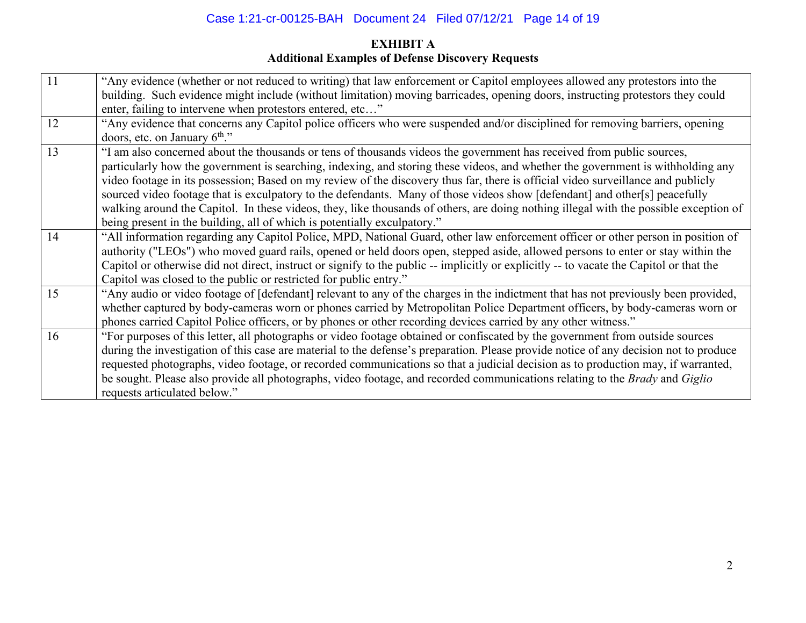## Case 1:21-cr-00125-BAH Document 24 Filed 07/12/21 Page 14 of 19

## **EXHIBIT A Additional Examples of Defense Discovery Requests**

| 11 | "Any evidence (whether or not reduced to writing) that law enforcement or Capitol employees allowed any protestors into the             |
|----|-----------------------------------------------------------------------------------------------------------------------------------------|
|    | building. Such evidence might include (without limitation) moving barricades, opening doors, instructing protestors they could          |
|    | enter, failing to intervene when protestors entered, etc"                                                                               |
| 12 | "Any evidence that concerns any Capitol police officers who were suspended and/or disciplined for removing barriers, opening            |
|    | doors, etc. on January $6^{\text{th}}$ ."                                                                                               |
| 13 | "I am also concerned about the thousands or tens of thousands videos the government has received from public sources,                   |
|    | particularly how the government is searching, indexing, and storing these videos, and whether the government is withholding any         |
|    | video footage in its possession; Based on my review of the discovery thus far, there is official video surveillance and publicly        |
|    | sourced video footage that is exculpatory to the defendants. Many of those videos show [defendant] and other[s] peacefully              |
|    | walking around the Capitol. In these videos, they, like thousands of others, are doing nothing illegal with the possible exception of   |
|    | being present in the building, all of which is potentially exculpatory."                                                                |
| 14 | "All information regarding any Capitol Police, MPD, National Guard, other law enforcement officer or other person in position of        |
|    | authority ("LEOs") who moved guard rails, opened or held doors open, stepped aside, allowed persons to enter or stay within the         |
|    | Capitol or otherwise did not direct, instruct or signify to the public -- implicitly or explicitly -- to vacate the Capitol or that the |
|    | Capitol was closed to the public or restricted for public entry."                                                                       |
| 15 | "Any audio or video footage of [defendant] relevant to any of the charges in the indictment that has not previously been provided,      |
|    | whether captured by body-cameras worn or phones carried by Metropolitan Police Department officers, by body-cameras worn or             |
|    | phones carried Capitol Police officers, or by phones or other recording devices carried by any other witness."                          |
| 16 | "For purposes of this letter, all photographs or video footage obtained or confiscated by the government from outside sources           |
|    | during the investigation of this case are material to the defense's preparation. Please provide notice of any decision not to produce   |
|    | requested photographs, video footage, or recorded communications so that a judicial decision as to production may, if warranted,        |
|    | be sought. Please also provide all photographs, video footage, and recorded communications relating to the Brady and Giglio             |
|    | requests articulated below."                                                                                                            |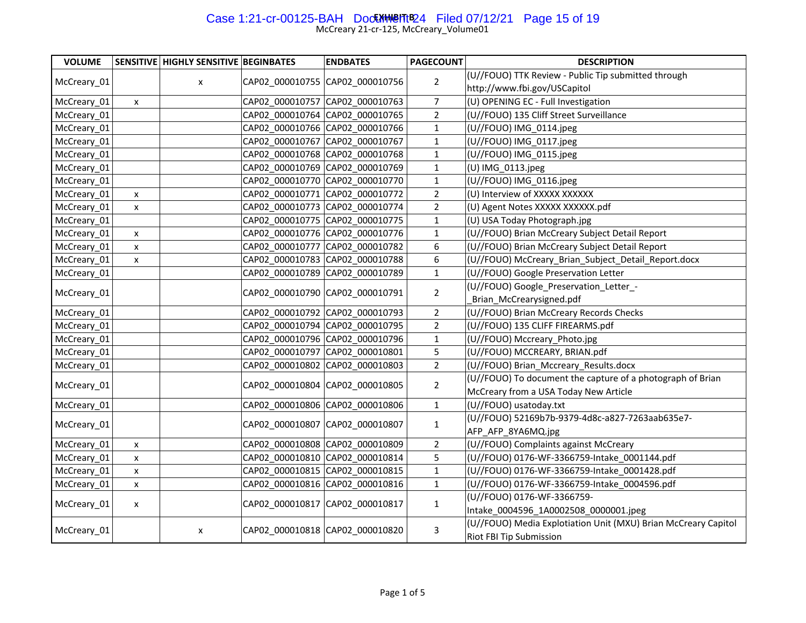# Case 1:21-cr-00125-BAH Doc<del>MINGITIB</del>24 Filed 07/12/21 Page 15 of 19

| <b>VOLUME</b> |                           | SENSITIVE HIGHLY SENSITIVE BEGINBATES |                                 | <b>ENDBATES</b>                 | <b>PAGECOUNT</b> | <b>DESCRIPTION</b>                                         |                                                                |
|---------------|---------------------------|---------------------------------------|---------------------------------|---------------------------------|------------------|------------------------------------------------------------|----------------------------------------------------------------|
| McCreary 01   |                           |                                       |                                 | CAP02 000010755 CAP02 000010756 | $\overline{2}$   | (U//FOUO) TTK Review - Public Tip submitted through        |                                                                |
|               |                           | X                                     |                                 |                                 |                  | http://www.fbi.gov/USCapitol                               |                                                                |
| McCreary_01   | $\mathsf X$               |                                       |                                 | CAP02_000010757 CAP02_000010763 | $\overline{7}$   | (U) OPENING EC - Full Investigation                        |                                                                |
| McCreary_01   |                           |                                       |                                 | CAP02 000010764 CAP02 000010765 | $\overline{2}$   | (U//FOUO) 135 Cliff Street Surveillance                    |                                                                |
| McCreary_01   |                           |                                       |                                 | CAP02_000010766 CAP02_000010766 | $\mathbf{1}$     | (U//FOUO) IMG_0114.jpeg                                    |                                                                |
| McCreary_01   |                           |                                       |                                 | CAP02 000010767 CAP02 000010767 | $\mathbf{1}$     | (U//FOUO) IMG_0117.jpeg                                    |                                                                |
| McCreary_01   |                           |                                       |                                 | CAP02 000010768 CAP02 000010768 | $\mathbf{1}$     | (U//FOUO) IMG_0115.jpeg                                    |                                                                |
| McCreary_01   |                           |                                       |                                 | CAP02_000010769 CAP02_000010769 | $\mathbf 1$      | (U) IMG_0113.jpeg                                          |                                                                |
| McCreary_01   |                           |                                       |                                 | CAP02 000010770 CAP02 000010770 | $\mathbf{1}$     | (U//FOUO) IMG 0116.jpeg                                    |                                                                |
| McCreary_01   | $\mathsf{x}$              |                                       |                                 | CAP02 000010771 CAP02 000010772 | $\overline{2}$   | (U) Interview of XXXXX XXXXXX                              |                                                                |
| McCreary_01   | $\mathsf{x}$              |                                       |                                 | CAP02_000010773 CAP02_000010774 | $\mathbf 2$      | (U) Agent Notes XXXXX XXXXXX.pdf                           |                                                                |
| McCreary_01   |                           |                                       |                                 | CAP02 000010775 CAP02 000010775 | $\mathbf{1}$     | (U) USA Today Photograph.jpg                               |                                                                |
| McCreary_01   | $\boldsymbol{\mathsf{x}}$ |                                       |                                 | CAP02 000010776 CAP02 000010776 | $\mathbf{1}$     | (U//FOUO) Brian McCreary Subject Detail Report             |                                                                |
| McCreary_01   | $\mathsf{x}$              |                                       |                                 | CAP02_000010777 CAP02_000010782 | 6                | (U//FOUO) Brian McCreary Subject Detail Report             |                                                                |
| McCreary_01   | $\mathsf{x}$              |                                       |                                 | CAP02 000010783 CAP02 000010788 | 6                | (U//FOUO) McCreary_Brian_Subject_Detail_Report.docx        |                                                                |
| McCreary_01   |                           |                                       |                                 | CAP02 000010789 CAP02 000010789 | $\mathbf{1}$     | (U//FOUO) Google Preservation Letter                       |                                                                |
| McCreary_01   |                           |                                       |                                 | CAP02_000010790 CAP02_000010791 | $\overline{2}$   | (U//FOUO) Google_Preservation_Letter_-                     |                                                                |
|               |                           |                                       |                                 |                                 |                  | Brian McCrearysigned.pdf                                   |                                                                |
| McCreary_01   |                           |                                       |                                 | CAP02 000010792 CAP02 000010793 | $\overline{2}$   | (U//FOUO) Brian McCreary Records Checks                    |                                                                |
| McCreary_01   |                           |                                       |                                 | CAP02 000010794 CAP02 000010795 | $\overline{2}$   | (U//FOUO) 135 CLIFF FIREARMS.pdf                           |                                                                |
| McCreary_01   |                           |                                       |                                 | CAP02 000010796 CAP02 000010796 | $\mathbf{1}$     | (U//FOUO) Mccreary_Photo.jpg                               |                                                                |
| McCreary_01   |                           |                                       |                                 | CAP02 000010797 CAP02 000010801 | 5                | (U//FOUO) MCCREARY, BRIAN.pdf                              |                                                                |
| McCreary_01   |                           |                                       |                                 | CAP02_000010802 CAP02_000010803 | $\overline{2}$   | (U//FOUO) Brian_Mccreary_Results.docx                      |                                                                |
| McCreary_01   |                           |                                       |                                 | CAP02_000010804 CAP02_000010805 | $\overline{2}$   | (U//FOUO) To document the capture of a photograph of Brian |                                                                |
|               |                           |                                       |                                 |                                 |                  | McCreary from a USA Today New Article                      |                                                                |
| McCreary_01   |                           |                                       |                                 | CAP02_000010806 CAP02_000010806 | $\mathbf{1}$     | (U//FOUO) usatoday.txt                                     |                                                                |
| McCreary_01   |                           |                                       |                                 | CAP02_000010807 CAP02_000010807 | 1                | (U//FOUO) 52169b7b-9379-4d8c-a827-7263aab635e7-            |                                                                |
|               |                           |                                       |                                 |                                 |                  | AFP_AFP_8YA6MQ.jpg                                         |                                                                |
| McCreary_01   | $\pmb{\mathsf{x}}$        |                                       |                                 | CAP02_000010808 CAP02_000010809 | $\overline{2}$   | (U//FOUO) Complaints against McCreary                      |                                                                |
| McCreary_01   | $\pmb{\mathsf{x}}$        |                                       |                                 | CAP02 000010810 CAP02 000010814 | 5                | (U//FOUO) 0176-WF-3366759-Intake_0001144.pdf               |                                                                |
| McCreary_01   | $\boldsymbol{\mathsf{x}}$ |                                       |                                 | CAP02 000010815 CAP02 000010815 | $\mathbf 1$      | (U//FOUO) 0176-WF-3366759-Intake_0001428.pdf               |                                                                |
| McCreary_01   | $\boldsymbol{\mathsf{x}}$ |                                       |                                 | CAP02_000010816 CAP02_000010816 | $\mathbf{1}$     | (U//FOUO) 0176-WF-3366759-Intake_0004596.pdf               |                                                                |
|               |                           |                                       | CAP02_000010817 CAP02_000010817 |                                 | $\mathbf{1}$     | (U//FOUO) 0176-WF-3366759-                                 |                                                                |
| McCreary_01   | X                         |                                       |                                 |                                 |                  | Intake 0004596 1A0002508 0000001.jpeg                      |                                                                |
| McCreary_01   |                           |                                       |                                 | CAP02_000010818 CAP02_000010820 |                  | 3                                                          | (U//FOUO) Media Explotiation Unit (MXU) Brian McCreary Capitol |
|               |                           | X                                     |                                 |                                 |                  | Riot FBI Tip Submission                                    |                                                                |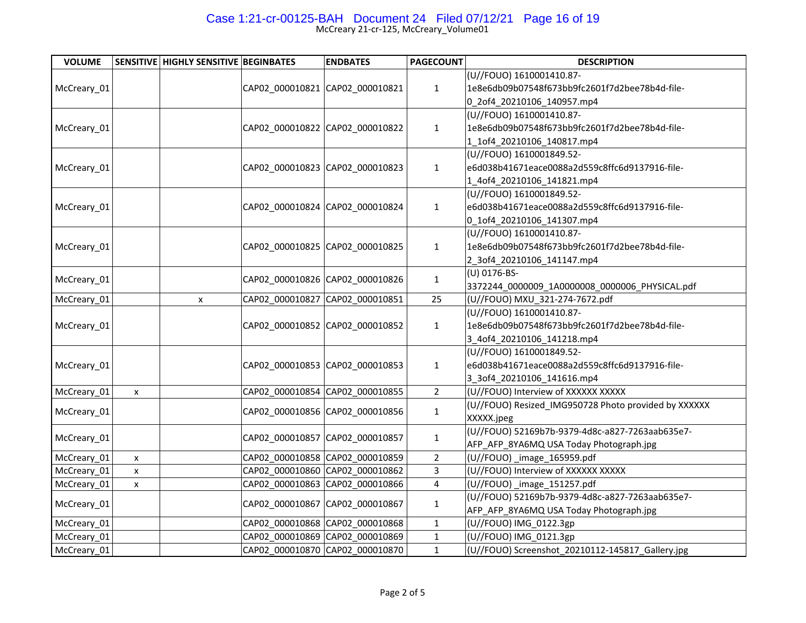# Case 1:21-cr-00125-BAH Document 24 Filed 07/12/21 Page 16 of 19

| <b>VOLUME</b> |              | SENSITIVE HIGHLY SENSITIVE BEGINBATES |  | <b>ENDBATES</b>                 | <b>PAGECOUNT</b>        | <b>DESCRIPTION</b>                                   |
|---------------|--------------|---------------------------------------|--|---------------------------------|-------------------------|------------------------------------------------------|
|               |              |                                       |  |                                 |                         | (U//FOUO) 1610001410.87-                             |
| McCreary_01   |              |                                       |  | CAP02 000010821 CAP02 000010821 | $\mathbf{1}$            | 1e8e6db09b07548f673bb9fc2601f7d2bee78b4d-file-       |
|               |              |                                       |  |                                 |                         | 0 2of4 20210106 140957.mp4                           |
|               |              |                                       |  |                                 |                         | (U//FOUO) 1610001410.87-                             |
| McCreary 01   |              |                                       |  | CAP02 000010822 CAP02 000010822 | $\mathbf{1}$            | 1e8e6db09b07548f673bb9fc2601f7d2bee78b4d-file-       |
|               |              |                                       |  |                                 |                         | 1_1of4_20210106_140817.mp4                           |
|               |              |                                       |  |                                 |                         | (U//FOUO) 1610001849.52-                             |
| McCreary_01   |              |                                       |  | CAP02_000010823 CAP02_000010823 | $\mathbf{1}$            | e6d038b41671eace0088a2d559c8ffc6d9137916-file-       |
|               |              |                                       |  |                                 |                         | 1_4of4_20210106_141821.mp4                           |
|               |              |                                       |  |                                 |                         | (U//FOUO) 1610001849.52-                             |
| McCreary_01   |              |                                       |  | CAP02_000010824 CAP02_000010824 | $\mathbf{1}$            | e6d038b41671eace0088a2d559c8ffc6d9137916-file-       |
|               |              |                                       |  |                                 |                         | 0_1of4_20210106_141307.mp4                           |
|               |              |                                       |  |                                 |                         | (U//FOUO) 1610001410.87-                             |
| McCreary_01   |              |                                       |  | CAP02_000010825 CAP02_000010825 | $\mathbf{1}$            | 1e8e6db09b07548f673bb9fc2601f7d2bee78b4d-file-       |
|               |              |                                       |  |                                 |                         | 2_3of4_20210106_141147.mp4                           |
|               |              |                                       |  |                                 |                         | (U) 0176-BS-                                         |
| McCreary_01   |              |                                       |  | CAP02_000010826 CAP02_000010826 | $\mathbf{1}$            | 3372244_0000009_1A0000008_0000006_PHYSICAL.pdf       |
| McCreary_01   |              | $\mathsf{x}$                          |  | CAP02 000010827 CAP02 000010851 | 25                      | (U//FOUO) MXU_321-274-7672.pdf                       |
|               |              |                                       |  |                                 |                         | (U//FOUO) 1610001410.87-                             |
| McCreary_01   |              |                                       |  | CAP02_000010852 CAP02_000010852 | $\mathbf{1}$            | 1e8e6db09b07548f673bb9fc2601f7d2bee78b4d-file-       |
|               |              |                                       |  |                                 |                         | 3_4of4_20210106_141218.mp4                           |
|               |              |                                       |  | CAP02_000010853 CAP02_000010853 | $\mathbf{1}$            | (U//FOUO) 1610001849.52-                             |
| McCreary 01   |              |                                       |  |                                 |                         | e6d038b41671eace0088a2d559c8ffc6d9137916-file-       |
|               |              |                                       |  |                                 |                         | 3_3of4_20210106_141616.mp4                           |
| McCreary_01   | $\mathsf{x}$ |                                       |  | CAP02_000010854 CAP02_000010855 | $\overline{2}$          | (U//FOUO) Interview of XXXXXX XXXXX                  |
| McCreary_01   |              |                                       |  | CAP02_000010856 CAP02_000010856 | $\mathbf{1}$            | (U//FOUO) Resized_IMG950728 Photo provided by XXXXXX |
|               |              |                                       |  |                                 |                         | XXXXX.jpeg                                           |
| McCreary_01   |              |                                       |  | CAP02_000010857 CAP02_000010857 | $\mathbf{1}$            | (U//FOUO) 52169b7b-9379-4d8c-a827-7263aab635e7-      |
|               |              |                                       |  |                                 |                         | AFP_AFP_8YA6MQ USA Today Photograph.jpg              |
| McCreary_01   | $\mathsf{x}$ |                                       |  | CAP02 000010858 CAP02 000010859 | $\overline{2}$          | (U//FOUO)_image_165959.pdf                           |
| McCreary_01   | $\mathsf{x}$ |                                       |  | CAP02 000010860 CAP02 000010862 | 3                       | (U//FOUO) Interview of XXXXXX XXXXX                  |
| McCreary_01   | X            |                                       |  | CAP02_000010863 CAP02_000010866 | $\overline{\mathbf{4}}$ | (U//FOUO)_image_151257.pdf                           |
| McCreary_01   |              |                                       |  |                                 |                         | (U//FOUO) 52169b7b-9379-4d8c-a827-7263aab635e7-      |
|               |              |                                       |  | CAP02_000010867 CAP02_000010867 | 1                       | AFP_AFP_8YA6MQ USA Today Photograph.jpg              |
| McCreary_01   |              |                                       |  | CAP02_000010868 CAP02_000010868 | $\mathbf{1}$            | (U//FOUO) IMG_0122.3gp                               |
| McCreary_01   |              |                                       |  | CAP02 000010869 CAP02 000010869 | $\mathbf 1$             | (U//FOUO) IMG_0121.3gp                               |
| McCreary_01   |              |                                       |  | CAP02 000010870 CAP02 000010870 | $\mathbf{1}$            | (U//FOUO) Screenshot_20210112-145817_Gallery.jpg     |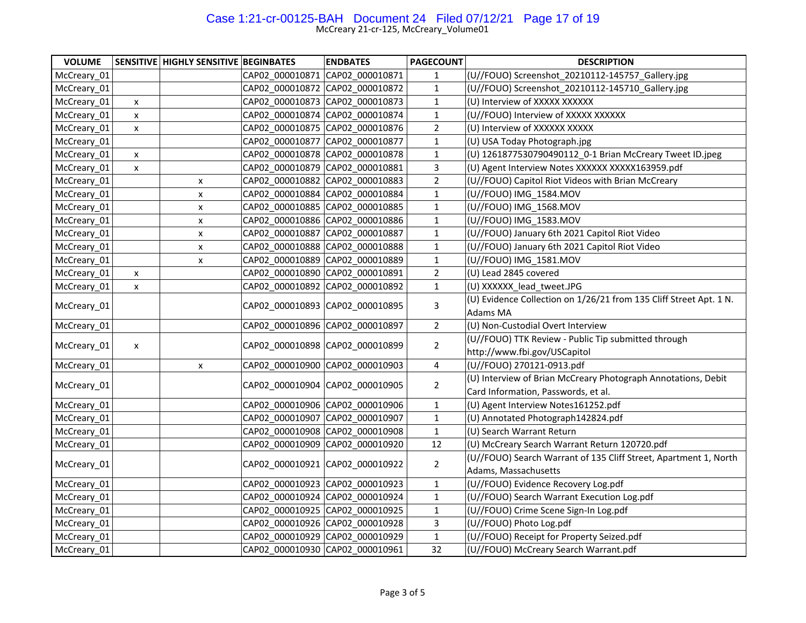### Case 1:21-cr-00125-BAH Document 24 Filed 07/12/21 Page 17 of 19

| <b>VOLUME</b> |                    | SENSITIVE HIGHLY SENSITIVE BEGINBATES |                                 | <b>ENDBATES</b>                 | <b>PAGECOUNT</b> | <b>DESCRIPTION</b>                                                 |
|---------------|--------------------|---------------------------------------|---------------------------------|---------------------------------|------------------|--------------------------------------------------------------------|
| McCreary_01   |                    |                                       | CAP02_000010871 CAP02_000010871 |                                 | $\mathbf{1}$     | (U//FOUO) Screenshot_20210112-145757_Gallery.jpg                   |
| McCreary 01   |                    |                                       |                                 | CAP02 000010872 CAP02 000010872 | $\mathbf 1$      | (U//FOUO) Screenshot 20210112-145710 Gallery.jpg                   |
| McCreary_01   | $\pmb{\mathsf{X}}$ |                                       |                                 | CAP02_000010873 CAP02_000010873 | $\mathbf{1}$     | (U) Interview of XXXXX XXXXXX                                      |
| McCreary 01   | $\mathsf{x}$       |                                       |                                 | CAP02 000010874 CAP02 000010874 | $\mathbf 1$      | (U//FOUO) Interview of XXXXX XXXXXX                                |
| McCreary_01   | x                  |                                       |                                 | CAP02 000010875 CAP02 000010876 | $\overline{2}$   | (U) Interview of XXXXXX XXXXX                                      |
| McCreary_01   |                    |                                       |                                 | CAP02 000010877 CAP02 000010877 | $\mathbf 1$      | (U) USA Today Photograph.jpg                                       |
| McCreary_01   | $\mathsf{x}$       |                                       |                                 | CAP02 000010878 CAP02 000010878 | $1\,$            | (U) 1261877530790490112_0-1 Brian McCreary Tweet ID.jpeg           |
| McCreary_01   | $\mathsf{x}$       |                                       |                                 | CAP02_000010879 CAP02_000010881 | 3                | (U) Agent Interview Notes XXXXXX XXXXX163959.pdf                   |
| McCreary_01   |                    | X                                     |                                 | CAP02 000010882 CAP02 000010883 | $\overline{2}$   | (U//FOUO) Capitol Riot Videos with Brian McCreary                  |
| McCreary_01   |                    | X                                     |                                 | CAP02_000010884 CAP02_000010884 | $\mathbf 1$      | (U//FOUO) IMG_1584.MOV                                             |
| McCreary_01   |                    | X                                     |                                 | CAP02 000010885 CAP02 000010885 | $\mathbf 1$      | (U//FOUO) IMG 1568.MOV                                             |
| McCreary_01   |                    | X                                     |                                 | CAP02 000010886 CAP02 000010886 | $\mathbf 1$      | (U//FOUO) IMG 1583.MOV                                             |
| McCreary_01   |                    | X                                     |                                 | CAP02 000010887 CAP02 000010887 | $\mathbf 1$      | (U//FOUO) January 6th 2021 Capitol Riot Video                      |
| McCreary_01   |                    | X                                     |                                 | CAP02 000010888 CAP02 000010888 | $\mathbf 1$      | (U//FOUO) January 6th 2021 Capitol Riot Video                      |
| McCreary_01   |                    | x                                     |                                 | CAP02 000010889 CAP02 000010889 | $\mathbf 1$      | (U//FOUO) IMG 1581.MOV                                             |
| McCreary_01   | $\mathsf{x}$       |                                       | CAP02 000010890 CAP02_000010891 |                                 | $\overline{2}$   | (U) Lead 2845 covered                                              |
| McCreary_01   | X                  |                                       |                                 | CAP02_000010892 CAP02_000010892 | $\mathbf{1}$     | (U) XXXXXX_lead_tweet.JPG                                          |
| McCreary_01   |                    |                                       | CAP02_000010893 CAP02_000010895 |                                 | $\mathsf{3}$     | (U) Evidence Collection on 1/26/21 from 135 Cliff Street Apt. 1 N. |
|               |                    |                                       |                                 |                                 |                  | Adams MA                                                           |
| McCreary_01   |                    |                                       |                                 | CAP02 000010896 CAP02 000010897 | $\overline{2}$   | (U) Non-Custodial Overt Interview                                  |
|               |                    |                                       |                                 | CAP02_000010898 CAP02_000010899 | $\overline{2}$   | (U//FOUO) TTK Review - Public Tip submitted through                |
| McCreary_01   | X                  |                                       |                                 |                                 |                  | http://www.fbi.gov/USCapitol                                       |
| McCreary_01   |                    | X                                     |                                 | CAP02 000010900 CAP02 000010903 | $\overline{4}$   | (U//FOUO) 270121-0913.pdf                                          |
| McCreary_01   |                    |                                       |                                 | CAP02_000010904 CAP02_000010905 | $\overline{2}$   | (U) Interview of Brian McCreary Photograph Annotations, Debit      |
|               |                    |                                       |                                 |                                 |                  | Card Information, Passwords, et al.                                |
| McCreary_01   |                    |                                       |                                 | CAP02 000010906 CAP02 000010906 | $1\,$            | (U) Agent Interview Notes161252.pdf                                |
| McCreary_01   |                    |                                       |                                 | CAP02 000010907 CAP02 000010907 | $\mathbf 1$      | (U) Annotated Photograph142824.pdf                                 |
| McCreary_01   |                    |                                       |                                 | CAP02_000010908 CAP02_000010908 | $1\,$            | (U) Search Warrant Return                                          |
| McCreary_01   |                    |                                       |                                 | CAP02_000010909 CAP02_000010920 | 12               | (U) McCreary Search Warrant Return 120720.pdf                      |
|               |                    |                                       | CAP02_000010921 CAP02_000010922 |                                 | $\mathbf 2$      | (U//FOUO) Search Warrant of 135 Cliff Street, Apartment 1, North   |
| McCreary_01   |                    |                                       |                                 |                                 |                  | Adams, Massachusetts                                               |
| McCreary 01   |                    |                                       |                                 | CAP02 000010923 CAP02 000010923 | $\mathbf{1}$     | (U//FOUO) Evidence Recovery Log.pdf                                |
| McCreary_01   |                    |                                       |                                 | CAP02_000010924 CAP02_000010924 | $\mathbf 1$      | (U//FOUO) Search Warrant Execution Log.pdf                         |
| McCreary_01   |                    |                                       |                                 | CAP02_000010925 CAP02_000010925 | $\mathbf 1$      | (U//FOUO) Crime Scene Sign-In Log.pdf                              |
| McCreary_01   |                    |                                       |                                 | CAP02 000010926 CAP02 000010928 | $\mathsf{3}$     | (U//FOUO) Photo Log.pdf                                            |
| McCreary_01   |                    |                                       |                                 | CAP02 000010929 CAP02 000010929 | $\mathbf 1$      | (U//FOUO) Receipt for Property Seized.pdf                          |
| McCreary_01   |                    |                                       |                                 | CAP02 000010930 CAP02 000010961 | 32               | (U//FOUO) McCreary Search Warrant.pdf                              |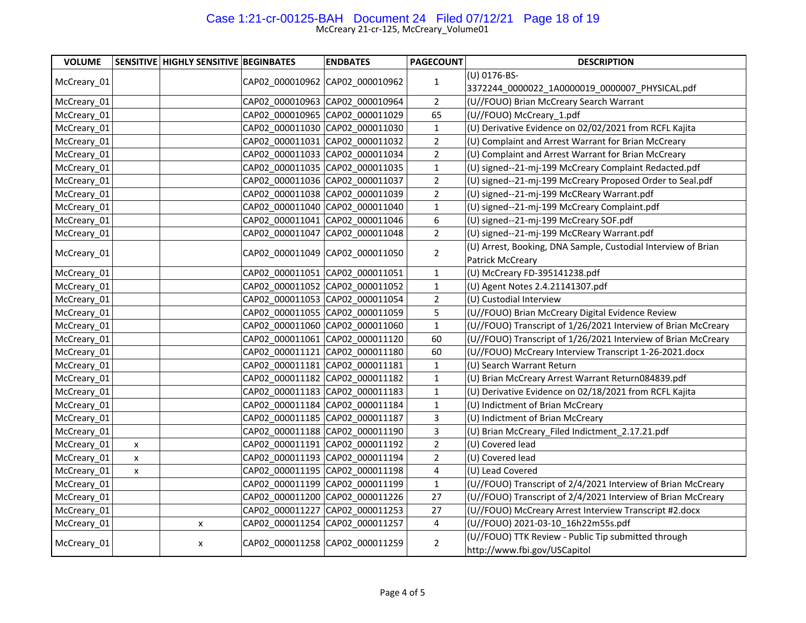## Case 1:21-cr-00125-BAH Document 24 Filed 07/12/21 Page 18 of 19

| <b>VOLUME</b> |   | <b>SENSITIVE HIGHLY SENSITIVE BEGINBATES</b> | <b>ENDBATES</b>                 | <b>PAGECOUNT</b> | <b>DESCRIPTION</b>                                                                  |
|---------------|---|----------------------------------------------|---------------------------------|------------------|-------------------------------------------------------------------------------------|
| McCreary 01   |   |                                              | CAP02 000010962 CAP02 000010962 | $\mathbf{1}$     | (U) 0176-BS-                                                                        |
|               |   |                                              |                                 |                  | 3372244_0000022_1A0000019_0000007_PHYSICAL.pdf                                      |
| McCreary_01   |   |                                              | CAP02 000010963 CAP02 000010964 | $\overline{2}$   | (U//FOUO) Brian McCreary Search Warrant                                             |
| McCreary_01   |   |                                              | CAP02 000010965 CAP02 000011029 | 65               | (U//FOUO) McCreary_1.pdf                                                            |
| McCreary_01   |   |                                              | CAP02 000011030 CAP02 000011030 | $\mathbf{1}$     | (U) Derivative Evidence on 02/02/2021 from RCFL Kajita                              |
| McCreary_01   |   |                                              | CAP02 000011031 CAP02 000011032 | $\overline{2}$   | (U) Complaint and Arrest Warrant for Brian McCreary                                 |
| McCreary_01   |   |                                              | CAP02 000011033 CAP02 000011034 | $\overline{2}$   | (U) Complaint and Arrest Warrant for Brian McCreary                                 |
| McCreary 01   |   |                                              | CAP02 000011035 CAP02 000011035 | $\mathbf{1}$     | (U) signed--21-mj-199 McCreary Complaint Redacted.pdf                               |
| McCreary 01   |   |                                              | CAP02 000011036 CAP02 000011037 | $\overline{2}$   | (U) signed--21-mj-199 McCreary Proposed Order to Seal.pdf                           |
| McCreary_01   |   |                                              | CAP02 000011038 CAP02 000011039 | $\overline{2}$   | (U) signed--21-mj-199 McCReary Warrant.pdf                                          |
| McCreary_01   |   |                                              | CAP02 000011040 CAP02 000011040 | $\mathbf 1$      | (U) signed--21-mj-199 McCreary Complaint.pdf                                        |
| McCreary_01   |   |                                              | CAP02 000011041 CAP02 000011046 | 6                | (U) signed--21-mj-199 McCreary SOF.pdf                                              |
| McCreary_01   |   |                                              | CAP02_000011047 CAP02_000011048 | $\mathbf 2$      | (U) signed--21-mj-199 McCReary Warrant.pdf                                          |
| McCreary_01   |   |                                              | CAP02 000011049 CAP02 000011050 | $\overline{2}$   | (U) Arrest, Booking, DNA Sample, Custodial Interview of Brian                       |
|               |   |                                              |                                 |                  | Patrick McCreary                                                                    |
| McCreary_01   |   |                                              | CAP02_000011051 CAP02_000011051 | $\mathbf{1}$     | (U) McCreary FD-395141238.pdf                                                       |
| McCreary_01   |   |                                              | CAP02 000011052 CAP02 000011052 | $\mathbf{1}$     | (U) Agent Notes 2.4.21141307.pdf                                                    |
| McCreary 01   |   |                                              | CAP02 000011053 CAP02 000011054 | $\overline{2}$   | (U) Custodial Interview                                                             |
| McCreary_01   |   |                                              | CAP02 000011055 CAP02 000011059 | 5                | (U//FOUO) Brian McCreary Digital Evidence Review                                    |
| McCreary 01   |   |                                              | CAP02 000011060 CAP02 000011060 | $\mathbf{1}$     | (U//FOUO) Transcript of 1/26/2021 Interview of Brian McCreary                       |
| McCreary_01   |   |                                              | CAP02_000011061 CAP02_000011120 | 60               | (U//FOUO) Transcript of 1/26/2021 Interview of Brian McCreary                       |
| McCreary_01   |   |                                              | CAP02 000011121 CAP02 000011180 | 60               | (U//FOUO) McCreary Interview Transcript 1-26-2021.docx                              |
| McCreary_01   |   |                                              | CAP02_000011181 CAP02_000011181 | $\mathbf{1}$     | (U) Search Warrant Return                                                           |
| McCreary_01   |   |                                              | CAP02 000011182 CAP02 000011182 | $\mathbf{1}$     | (U) Brian McCreary Arrest Warrant Return084839.pdf                                  |
| McCreary 01   |   |                                              | CAP02 000011183 CAP02 000011183 | $\mathbf{1}$     | (U) Derivative Evidence on 02/18/2021 from RCFL Kajita                              |
| McCreary_01   |   |                                              | CAP02 000011184 CAP02 000011184 | $\mathbf{1}$     | (U) Indictment of Brian McCreary                                                    |
| McCreary 01   |   |                                              | CAP02 000011185 CAP02 000011187 | 3                | (U) Indictment of Brian McCreary                                                    |
| McCreary_01   |   |                                              | CAP02 000011188 CAP02 000011190 | $\mathsf{3}$     | (U) Brian McCreary_Filed Indictment_2.17.21.pdf                                     |
| McCreary_01   | x |                                              | CAP02 000011191 CAP02 000011192 | $\mathbf 2$      | (U) Covered lead                                                                    |
| McCreary_01   | x |                                              | CAP02 000011193 CAP02 000011194 | $\overline{2}$   | (U) Covered lead                                                                    |
| McCreary_01   | x |                                              | CAP02_000011195 CAP02_000011198 | 4                | (U) Lead Covered                                                                    |
| McCreary_01   |   |                                              | CAP02_000011199 CAP02_000011199 | $\mathbf{1}$     | (U//FOUO) Transcript of 2/4/2021 Interview of Brian McCreary                        |
| McCreary_01   |   |                                              | CAP02 000011200 CAP02 000011226 | 27               | (U//FOUO) Transcript of 2/4/2021 Interview of Brian McCreary                        |
| McCreary_01   |   |                                              | CAP02 000011227 CAP02 000011253 | 27               | (U//FOUO) McCreary Arrest Interview Transcript #2.docx                              |
| McCreary_01   |   | X                                            | CAP02 000011254 CAP02 000011257 | 4                | (U//FOUO) 2021-03-10_16h22m55s.pdf                                                  |
| McCreary_01   |   | X                                            | CAP02_000011258 CAP02_000011259 | $\overline{2}$   | (U//FOUO) TTK Review - Public Tip submitted through<br>http://www.fbi.gov/USCapitol |